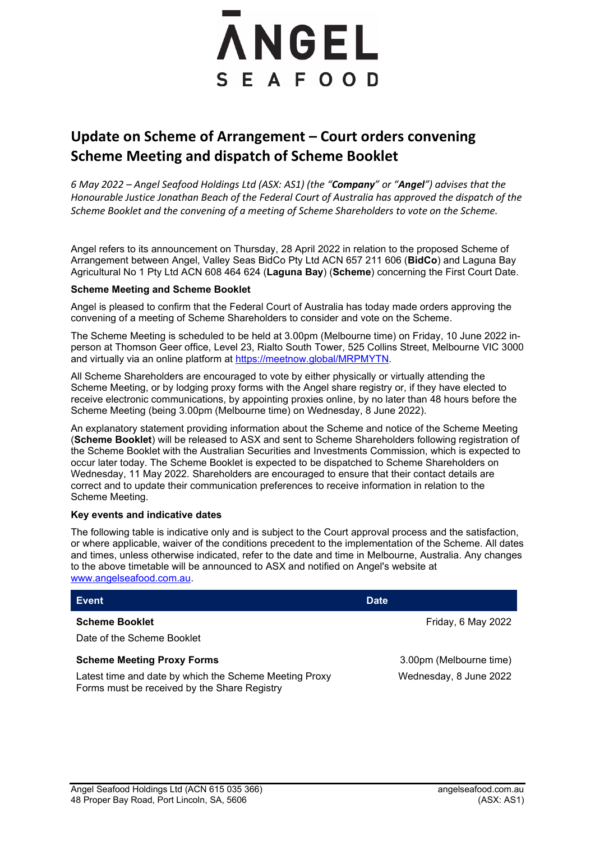# **ANGEL** SEAFOOD

# **Update on Scheme of Arrangement – Court orders convening Scheme Meeting and dispatch of Scheme Booklet**

*6 May 2022 – Angel Seafood Holdings Ltd (ASX: AS1) (the "Company" or "Angel") advises that the Honourable Justice Jonathan Beach of the Federal Court of Australia has approved the dispatch of the Scheme Booklet and the convening of a meeting of Scheme Shareholders to vote on the Scheme.* 

Angel refers to its announcement on Thursday, 28 April 2022 in relation to the proposed Scheme of Arrangement between Angel, Valley Seas BidCo Pty Ltd ACN 657 211 606 (**BidCo**) and Laguna Bay Agricultural No 1 Pty Ltd ACN 608 464 624 (**Laguna Bay**) (**Scheme**) concerning the First Court Date.

# **Scheme Meeting and Scheme Booklet**

Angel is pleased to confirm that the Federal Court of Australia has today made orders approving the convening of a meeting of Scheme Shareholders to consider and vote on the Scheme.

The Scheme Meeting is scheduled to be held at 3.00pm (Melbourne time) on Friday, 10 June 2022 inperson at Thomson Geer office, Level 23, Rialto South Tower, 525 Collins Street, Melbourne VIC 3000 and virtually via an online platform at [https://meetnow.global/MRPMYTN.](https://meetnow.global/MRPMYTN)

All Scheme Shareholders are encouraged to vote by either physically or virtually attending the Scheme Meeting, or by lodging proxy forms with the Angel share registry or, if they have elected to receive electronic communications, by appointing proxies online, by no later than 48 hours before the Scheme Meeting (being 3.00pm (Melbourne time) on Wednesday, 8 June 2022).

An explanatory statement providing information about the Scheme and notice of the Scheme Meeting (**Scheme Booklet**) will be released to ASX and sent to Scheme Shareholders following registration of the Scheme Booklet with the Australian Securities and Investments Commission, which is expected to occur later today. The Scheme Booklet is expected to be dispatched to Scheme Shareholders on Wednesday, 11 May 2022. Shareholders are encouraged to ensure that their contact details are correct and to update their communication preferences to receive information in relation to the Scheme Meeting.

# **Key events and indicative dates**

The following table is indicative only and is subject to the Court approval process and the satisfaction, or where applicable, waiver of the conditions precedent to the implementation of the Scheme. All dates and times, unless otherwise indicated, refer to the date and time in Melbourne, Australia. Any changes to the above timetable will be announced to ASX and notified on Angel's website at [www.angelseafood.com.au.](http://www.angelseafood.com.au/)

| Event                                                                                                                                       | <b>Date</b>                                       |
|---------------------------------------------------------------------------------------------------------------------------------------------|---------------------------------------------------|
| <b>Scheme Booklet</b><br>Date of the Scheme Booklet                                                                                         | Friday, 6 May 2022                                |
| <b>Scheme Meeting Proxy Forms</b><br>Latest time and date by which the Scheme Meeting Proxy<br>Forms must be received by the Share Registry | 3.00pm (Melbourne time)<br>Wednesday, 8 June 2022 |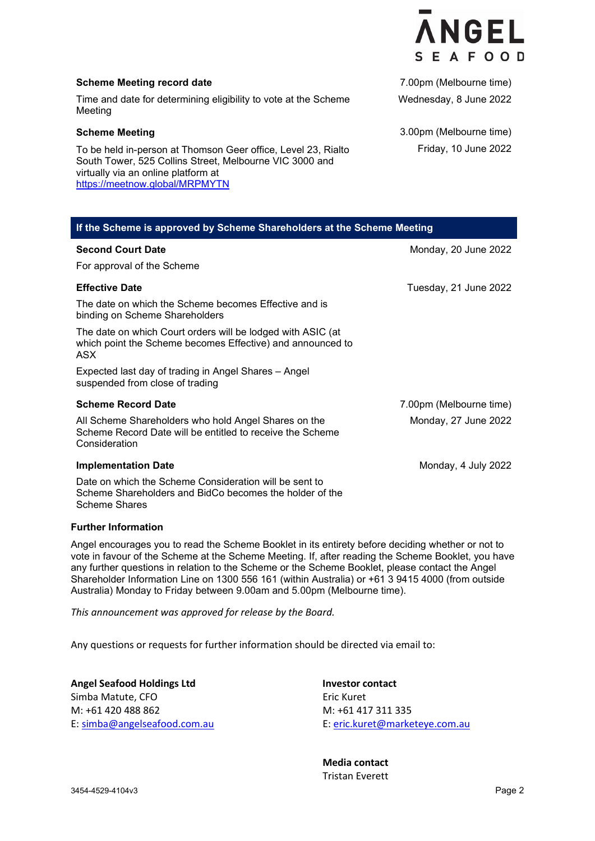

### **Scheme Meeting record date**

Time and date for determining eligibility to vote at the Scheme Meeting

#### **Scheme Meeting**

To be held in-person at Thomson Geer office, Level 23, Rialto South Tower, 525 Collins Street, Melbourne VIC 3000 and virtually via an online platform at <https://meetnow.global/MRPMYTN>

7.00pm (Melbourne time) Wednesday, 8 June 2022

3.00pm (Melbourne time) Friday, 10 June 2022

| If the Scheme is approved by Scheme Shareholders at the Scheme Meeting                                                                    |                         |
|-------------------------------------------------------------------------------------------------------------------------------------------|-------------------------|
| <b>Second Court Date</b>                                                                                                                  | Monday, 20 June 2022    |
| For approval of the Scheme                                                                                                                |                         |
| <b>Effective Date</b>                                                                                                                     | Tuesday, 21 June 2022   |
| The date on which the Scheme becomes Effective and is<br>binding on Scheme Shareholders                                                   |                         |
| The date on which Court orders will be lodged with ASIC (at<br>which point the Scheme becomes Effective) and announced to<br>ASX          |                         |
| Expected last day of trading in Angel Shares – Angel<br>suspended from close of trading                                                   |                         |
| <b>Scheme Record Date</b>                                                                                                                 | 7.00pm (Melbourne time) |
| All Scheme Shareholders who hold Angel Shares on the<br>Scheme Record Date will be entitled to receive the Scheme<br>Consideration        | Monday, 27 June 2022    |
| <b>Implementation Date</b>                                                                                                                | Monday, 4 July 2022     |
| Date on which the Scheme Consideration will be sent to<br>Scheme Shareholders and BidCo becomes the holder of the<br><b>Scheme Shares</b> |                         |

#### **Further Information**

Angel encourages you to read the Scheme Booklet in its entirety before deciding whether or not to vote in favour of the Scheme at the Scheme Meeting. If, after reading the Scheme Booklet, you have any further questions in relation to the Scheme or the Scheme Booklet, please contact the Angel Shareholder Information Line on 1300 556 161 (within Australia) or +61 3 9415 4000 (from outside Australia) Monday to Friday between 9.00am and 5.00pm (Melbourne time).

*This announcement was approved for release by the Board.* 

Any questions or requests for further information should be directed via email to:

**Angel Seafood Holdings Ltd Investor contact**  Simba Matute, CFO Eric Kuret M: +61 420 488 862 M: +61 417 311 335

E[: simba@angelseafood.com.au](mailto:simba@angelseafood.com.au) E[: eric.kuret@marketeye.com.au](mailto:eric.kuret@marketeye.com.au)

 **Media contact** Tristan Everett